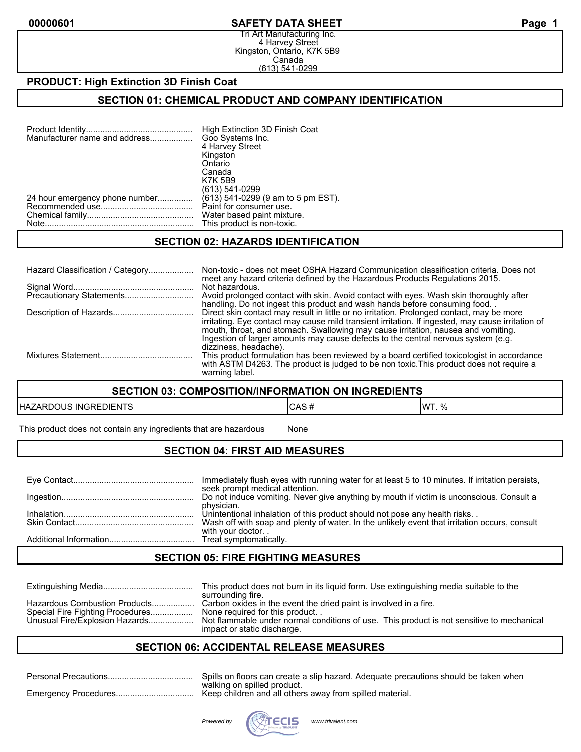#### **00000601 SAFETY DATA SHEET Page 1**

Tri Art Manufacturing Inc. 4 Harvey Street Kingston, Ontario, K7K 5B9 Canada (613) 541-0299

### **PRODUCT: High Extinction 3D Finish Coat**

#### **SECTION 01: CHEMICAL PRODUCT AND COMPANY IDENTIFICATION**

| Manufacturer name and address  | High Extinction 3D Finish Coat<br>Goo Systems Inc. |
|--------------------------------|----------------------------------------------------|
|                                | 4 Harvey Street                                    |
|                                | Kingston                                           |
|                                | Ontario                                            |
|                                | Canada                                             |
|                                | <b>K7K 5B9</b>                                     |
|                                | (613) 541-0299                                     |
| 24 hour emergency phone number | (613) 541-0299 (9 am to 5 pm EST).                 |
|                                | Paint for consumer use.                            |
|                                | Water based paint mixture.                         |
|                                | This product is non-toxic.                         |

#### **SECTION 02: HAZARDS IDENTIFICATION**

| Hazard Classification / Category | Non-toxic - does not meet OSHA Hazard Communication classification criteria. Does not<br>meet any hazard criteria defined by the Hazardous Products Regulations 2015.                                                                                                                                                                                                                             |
|----------------------------------|---------------------------------------------------------------------------------------------------------------------------------------------------------------------------------------------------------------------------------------------------------------------------------------------------------------------------------------------------------------------------------------------------|
|                                  | Not hazardous.<br>Avoid prolonged contact with skin. Avoid contact with eyes. Wash skin thoroughly after<br>handling. Do not ingest this product and wash hands before consuming food.                                                                                                                                                                                                            |
|                                  | Direct skin contact may result in little or no irritation. Prolonged contact, may be more<br>irritating. Eye contact may cause mild transient irritation. If ingested, may cause irritation of<br>mouth, throat, and stomach. Swallowing may cause irritation, nausea and vomiting.<br>Ingestion of larger amounts may cause defects to the central nervous system (e.g.<br>dizziness, headache). |
|                                  | This product formulation has been reviewed by a board certified toxicologist in accordance<br>with ASTM D4263. The product is judged to be non toxic. This product does not require a<br>warning label.                                                                                                                                                                                           |

#### **SECTION 03: COMPOSITION/INFORMATION ON INGREDIENTS**

| <b>HAZARDOUS INGREDIENTS</b> | ICAS# | IWT. % |
|------------------------------|-------|--------|
|------------------------------|-------|--------|

This product does not contain any ingredients that are hazardous Mone

### **SECTION 04: FIRST AID MEASURES**

| Immediately flush eyes with running water for at least 5 to 10 minutes. If irritation persists,<br>seek prompt medical attention.                                          |
|----------------------------------------------------------------------------------------------------------------------------------------------------------------------------|
| Do not induce vomiting. Never give anything by mouth if victim is unconscious. Consult a<br>physician.                                                                     |
| Unintentional inhalation of this product should not pose any health risks<br>Wash off with soap and plenty of water. In the unlikely event that irritation occurs, consult |
| with your doctor                                                                                                                                                           |

### **SECTION 05: FIRE FIGHTING MEASURES**

|                                                                                                     | This product does not burn in its liquid form. Use extinguishing media suitable to the<br>surrounding fire.                                                                                                                     |
|-----------------------------------------------------------------------------------------------------|---------------------------------------------------------------------------------------------------------------------------------------------------------------------------------------------------------------------------------|
| Hazardous Combustion Products<br>Special Fire Fighting Procedures<br>Unusual Fire/Explosion Hazards | Carbon oxides in the event the dried paint is involved in a fire.<br>None required for this product<br>Not flammable under normal conditions of use. This product is not sensitive to mechanical<br>impact or static discharge. |

## **SECTION 06: ACCIDENTAL RELEASE MEASURES**

| Personal Precautions | Spills on floors can create a slip hazard. Adequate precautions should be taken when |
|----------------------|--------------------------------------------------------------------------------------|
|                      | walking on spilled product.                                                          |
| Emergency Procedures | Keep children and all others away from spilled material.                             |



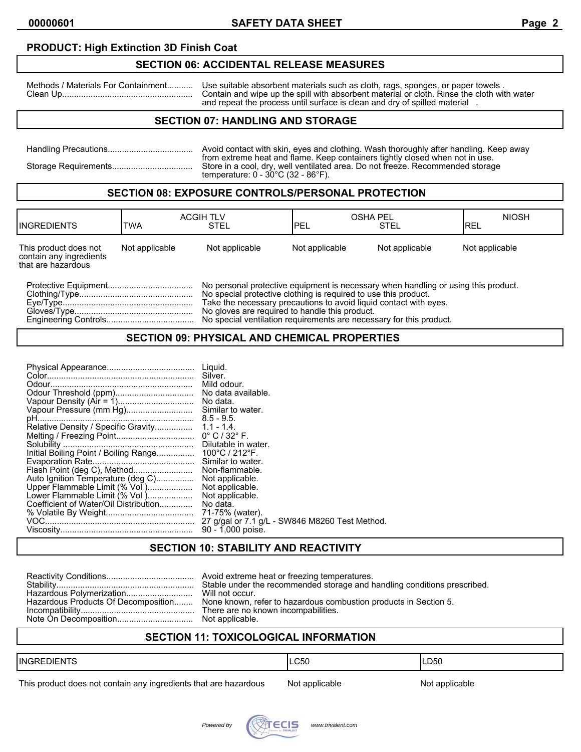### **PRODUCT: High Extinction 3D Finish Coat**

### **SECTION 06: ACCIDENTAL RELEASE MEASURES**

Methods / Materials For Containment........... Use suitable absorbent materials such as cloth, rags, sponges, or paper towels . Clean Up....................................................... Contain and wipe up the spill with absorbent material or cloth. Rinse the cloth with water and repeat the process until surface is clean and dry of spilled material .

### **SECTION 07: HANDLING AND STORAGE**

| Avoid contact with skin, eyes and clothing. Wash thoroughly after handling. Keep away<br>from extreme heat and flame. Keep containers tightly closed when not in use. |
|-----------------------------------------------------------------------------------------------------------------------------------------------------------------------|
| Store in a cool, dry, well ventilated area. Do not freeze. Recommended storage<br>temperature: $0 - 30^{\circ}$ C (32 - 86 $^{\circ}$ F).                             |

#### **SECTION 08: EXPOSURE CONTROLS/PERSONAL PROTECTION**

| <b>IINGREDIENTS</b>                                                    | TWA            | <b>ACGIH TLV</b><br>STEL                                                                                                                                                                                                                                                     | <b>IPEL</b>    | <b>OSHA PEL</b><br><b>STEL</b> | <b>NIOSH</b><br>IREL |
|------------------------------------------------------------------------|----------------|------------------------------------------------------------------------------------------------------------------------------------------------------------------------------------------------------------------------------------------------------------------------------|----------------|--------------------------------|----------------------|
| This product does not<br>contain any ingredients<br>that are hazardous | Not applicable | Not applicable                                                                                                                                                                                                                                                               | Not applicable | Not applicable                 | Not applicable       |
|                                                                        |                | No personal protective equipment is necessary when handling or using this product.<br>No special protective clothing is required to use this product.<br>Take the necessary precautions to avoid liquid contact with eves.<br>No gloves are required to handle this product. |                |                                |                      |

Engineering Controls..................................... No special ventilation requirements are necessary for this product.

#### **SECTION 09: PHYSICAL AND CHEMICAL PROPERTIES**

| Auto Ignition Temperature (deg C)<br>Upper Flammable Limit (% Vol )<br>Lower Flammable Limit (% Vol)<br>Coefficient of Water/Oil Distribution | Liguid.<br>Silver.<br>Mild odour.<br>No data.<br>Similar to water.<br>Dilutable in water.<br>Similar to water.<br>Non-flammable.<br>Not applicable.<br>Not applicable.<br>Not applicable.<br>No data.<br>71-75% (water).<br>27 g/gal or 7.1 g/L - SW846 M8260 Test Method.<br>90 - 1,000 poise. |
|-----------------------------------------------------------------------------------------------------------------------------------------------|-------------------------------------------------------------------------------------------------------------------------------------------------------------------------------------------------------------------------------------------------------------------------------------------------|
|-----------------------------------------------------------------------------------------------------------------------------------------------|-------------------------------------------------------------------------------------------------------------------------------------------------------------------------------------------------------------------------------------------------------------------------------------------------|

### **SECTION 10: STABILITY AND REACTIVITY**

|  | Stable under the recommended storage and handling conditions prescribed.<br>Hazardous Products Of Decomposition None known, refer to hazardous combustion products in Section 5. |
|--|----------------------------------------------------------------------------------------------------------------------------------------------------------------------------------|
|--|----------------------------------------------------------------------------------------------------------------------------------------------------------------------------------|

# **SECTION 11: TOXICOLOGICAL INFORMATION**

| $- - -$<br><b>IINGR</b><br>∖I⊢N I | C50<br>.UU | LD50 |
|-----------------------------------|------------|------|
|                                   |            |      |

This product does not contain any ingredients that are hazardous Not applicable Not applicable

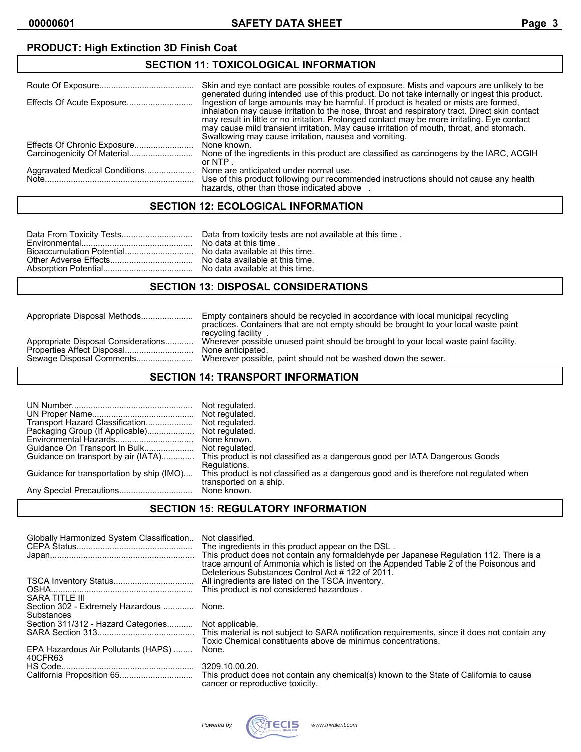# **PRODUCT: High Extinction 3D Finish Coat**

# **SECTION 11: TOXICOLOGICAL INFORMATION**

|                               | Skin and eve contact are possible routes of exposure. Mists and vapours are unlikely to be<br>generated during intended use of this product. Do not take internally or ingest this product.                                                                                                                                                                                                                                                 |
|-------------------------------|---------------------------------------------------------------------------------------------------------------------------------------------------------------------------------------------------------------------------------------------------------------------------------------------------------------------------------------------------------------------------------------------------------------------------------------------|
|                               | Ingestion of large amounts may be harmful. If product is heated or mists are formed,<br>inhalation may cause irritation to the nose, throat and respiratory tract. Direct skin contact<br>may result in little or no irritation. Prolonged contact may be more irritating. Eye contact<br>may cause mild transient irritation. May cause irritation of mouth, throat, and stomach.<br>Swallowing may cause irritation, nausea and vomiting. |
|                               | None known.                                                                                                                                                                                                                                                                                                                                                                                                                                 |
|                               | None of the ingredients in this product are classified as carcinogens by the IARC, ACGIH<br>or NTP $\overline{a}$                                                                                                                                                                                                                                                                                                                           |
| Aggravated Medical Conditions | None are anticipated under normal use.<br>Use of this product following our recommended instructions should not cause any health<br>hazards, other than those indicated above                                                                                                                                                                                                                                                               |

# **SECTION 12: ECOLOGICAL INFORMATION**

### **SECTION 13: DISPOSAL CONSIDERATIONS**

| Appropriate Disposal Methods                                      | Empty containers should be recycled in accordance with local municipal recycling<br>practices. Containers that are not empty should be brought to your local waste paint<br>recycling facility |  |
|-------------------------------------------------------------------|------------------------------------------------------------------------------------------------------------------------------------------------------------------------------------------------|--|
| Appropriate Disposal Considerations<br>Properties Affect Disposal | Wherever possible unused paint should be brought to your local waste paint facility.<br>None anticipated.<br>Wherever possible, paint should not be washed down the sewer.                     |  |
|                                                                   |                                                                                                                                                                                                |  |

### **SECTION 14: TRANSPORT INFORMATION**

| Transport Hazard Classification<br>Guidance on transport by air (IATA)<br>Guidance for transportation by ship (IMO) | Not regulated.<br>Not regulated.<br>None known.<br>This product is not classified as a dangerous good per IATA Dangerous Goods<br>Regulations.<br>This product is not classified as a dangerous good and is therefore not regulated when<br>transported on a ship.<br>None known. |
|---------------------------------------------------------------------------------------------------------------------|-----------------------------------------------------------------------------------------------------------------------------------------------------------------------------------------------------------------------------------------------------------------------------------|
|---------------------------------------------------------------------------------------------------------------------|-----------------------------------------------------------------------------------------------------------------------------------------------------------------------------------------------------------------------------------------------------------------------------------|

#### **SECTION 15: REGULATORY INFORMATION**

| Globally Harmonized System Classification              | Not classified.<br>The ingredients in this product appear on the DSL.<br>This product does not contain any formaldehyde per Japanese Regulation 112. There is a<br>trace amount of Ammonia which is listed on the Appended Table 2 of the Poisonous and<br>Deleterious Substances Control Act #122 of 2011. |
|--------------------------------------------------------|-------------------------------------------------------------------------------------------------------------------------------------------------------------------------------------------------------------------------------------------------------------------------------------------------------------|
| SARA TITLE III                                         | All ingredients are listed on the TSCA inventory.<br>This product is not considered hazardous.                                                                                                                                                                                                              |
| Section 302 - Extremely Hazardous  None.<br>Substances |                                                                                                                                                                                                                                                                                                             |
| Section 311/312 - Hazard Categories                    | Not applicable.<br>This material is not subject to SARA notification requirements, since it does not contain any<br>Toxic Chemical constituents above de minimus concentrations.                                                                                                                            |
| EPA Hazardous Air Pollutants (HAPS)<br>40CFR63         | None.                                                                                                                                                                                                                                                                                                       |
|                                                        | 3209.10.00.20.<br>cancer or reproductive toxicity.                                                                                                                                                                                                                                                          |